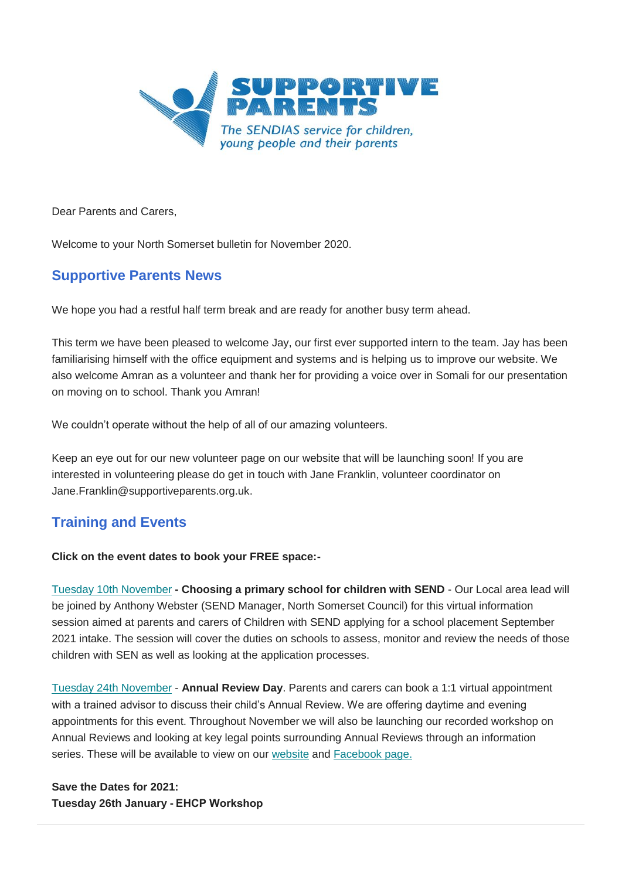

Dear Parents and Carers,

Welcome to your North Somerset bulletin for November 2020.

# **Supportive Parents News**

We hope you had a restful half term break and are ready for another busy term ahead.

This term we have been pleased to welcome Jay, our first ever supported intern to the team. Jay has been familiarising himself with the office equipment and systems and is helping us to improve our website. We also welcome Amran as a volunteer and thank her for providing a voice over in Somali for our presentation on moving on to school. Thank you Amran!

We couldn't operate without the help of all of our amazing volunteers.

Keep an eye out for our new volunteer page on our website that will be launching soon! If you are interested in volunteering please do get in touch with Jane Franklin, volunteer coordinator on Jane.Franklin@supportiveparents.org.uk.

# **Training and Events**

## **Click on the event dates to book your FREE space:-**

[Tuesday 10th November](https://www.eventbrite.co.uk/e/choosing-a-primary-school-for-children-with-send-tickets-122053400005?fbclid=IwAR3I9g_zxnNpy7jv12XqPcs2TyOmMpfwiwvIXRVllg_ec0-pCvjTWQC1lwg) **- Choosing a primary school for children with SEND** - Our Local area lead will be joined by Anthony Webster (SEND Manager, North Somerset Council) for this virtual information session aimed at parents and carers of Children with SEND applying for a school placement September 2021 intake. The session will cover the duties on schools to assess, monitor and review the needs of those children with SEN as well as looking at the application processes.

[Tuesday 24th November](https://annualreviewsurgery.eventbrite.co.uk/) - **Annual Review Day**. Parents and carers can book a 1:1 virtual appointment with a trained advisor to discuss their child's Annual Review. We are offering daytime and evening appointments for this event. Throughout November we will also be launching our recorded workshop on Annual Reviews and looking at key legal points surrounding Annual Reviews through an information series. These will be available to view on our [website](https://www.supportiveparents.org.uk/resources/information-series/) and [Facebook page.](https://www.facebook.com/SupportiveparentsPPS)

**Save the Dates for 2021: Tuesday 26th January - EHCP Workshop**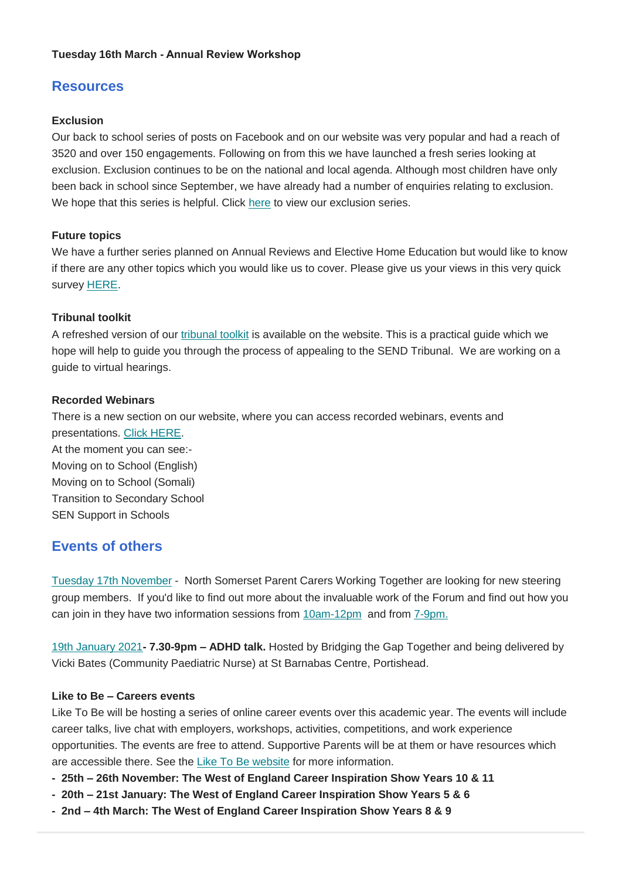### **Tuesday 16th March - Annual Review Workshop**

# **Resources**

### **Exclusion**

Our back to school series of posts on Facebook and on our website was very popular and had a reach of 3520 and over 150 engagements. Following on from this we have launched a fresh series looking at exclusion. Exclusion continues to be on the national and local agenda. Although most children have only been back in school since September, we have already had a number of enquiries relating to exclusion. We hope that this series is helpful. Click [here](https://www.supportiveparents.org.uk/resources/information-series/) to view our exclusion series.

### **Future topics**

We have a further series planned on Annual Reviews and Elective Home Education but would like to know if there are any other topics which you would like us to cover. Please give us your views in this very quick survey **HERE**.

### **Tribunal toolkit**

A refreshed version of our [tribunal toolkit](https://www.supportiveparents.org.uk/wp-content/uploads/2020/10/tribunals-content-and-placement-appeal.pdf) is available on the website. This is a practical guide which we hope will help to guide you through the process of appealing to the SEND Tribunal. We are working on a guide to virtual hearings.

### **Recorded Webinars**

There is a new section on our website, where you can access recorded webinars, events and presentations. [Click HERE.](https://www.supportiveparents.org.uk/resources/workshop-recordings/) At the moment you can see:- Moving on to School (English) Moving on to School (Somali) Transition to Secondary School SEN Support in Schools

# **Events of others**

[Tuesday 17th November](https://www.eventbrite.co.uk/e/join-our-steering-group-tickets-127688488707?aff=affiliate1&fbclid=IwAR3SGlhpx-pWgfSSFCio69-e0SVcL-wsJCH_M4jtNly2PouSgVE6OduxZoM) - North Somerset Parent Carers Working Together are looking for new steering group members. If you'd like to find out more about the invaluable work of the Forum and find out how you can join in they have two information sessions from [10am-12pm](https://www.eventbrite.co.uk/e/join-our-steering-group-tickets-127688488707?aff=affiliate1&fbclid=IwAR03WQhfhXEawK2aHz6OFsKVs3Oxje-3iNGJfuz7PoJJeQ2FrfsvCjlcJc0) and from [7-9pm.](https://www.eventbrite.co.uk/e/join-our-steering-group-tickets-124085694653?aff=affiliate1&fbclid=IwAR03WQhfhXEawK2aHz6OFsKVs3Oxje-3iNGJfuz7PoJJeQ2FrfsvCjlcJc0)

[19th January 2021](https://bridgingthegaptogether.org.uk/events/evening/40-adhd-2020.html)**- 7.30-9pm – ADHD talk.** Hosted by Bridging the Gap Together and being delivered by Vicki Bates (Community Paediatric Nurse) at St Barnabas Centre, Portishead.

#### **Like to Be – Careers events**

Like To Be will be hosting a series of online career events over this academic year. The events will include career talks, live chat with employers, workshops, activities, competitions, and work experience opportunities. The events are free to attend. Supportive Parents will be at them or have resources which are accessible there. See the [Like To Be website](https://www.liketobe.org/) for more information.

- **- 25th – 26th November: The West of England Career Inspiration Show Years 10 & 11**
- **- 20th – 21st January: The West of England Career Inspiration Show Years 5 & 6**
- **- 2nd – 4th March: The West of England Career Inspiration Show Years 8 & 9**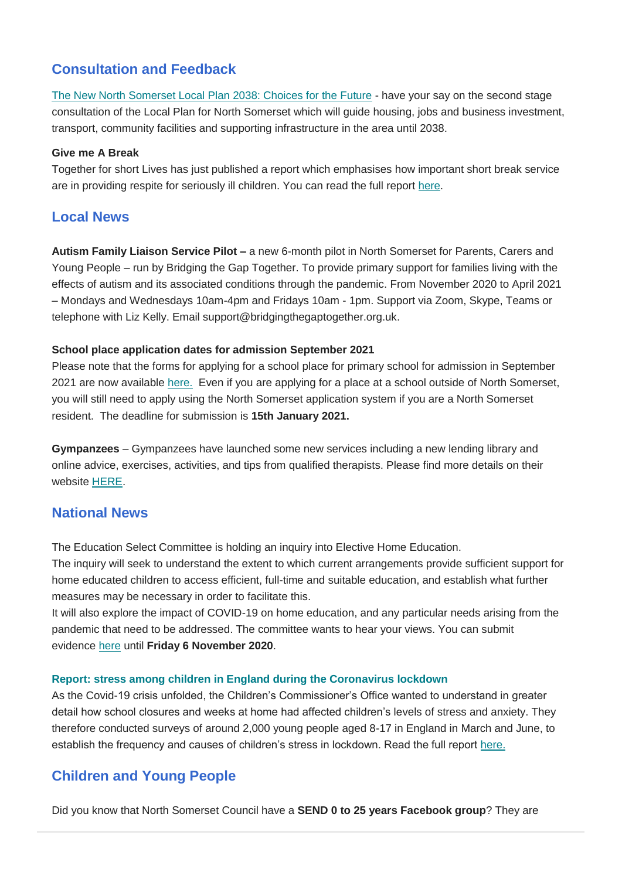# **Consultation and Feedback**

[The New North Somerset Local Plan 2038: Choices for the Future](http://www.n-somerset.gov.uk/my-services/planning-building-control/planning-policy/our-local-plan/local-plan-2038/choices-autumn-2020) - have your say on the second stage consultation of the Local Plan for North Somerset which will guide housing, jobs and business investment, transport, community facilities and supporting infrastructure in the area until 2038.

## **Give me A Break**

Together for short Lives has just published a report which emphasises how important short break service are in providing respite for seriously ill children. You can read the full report [here.](https://www.togetherforshortlives.org.uk/wp-content/uploads/2020/10/Together-for-Short-Lives-and-Julias-House-Give-Me-a-Break-report.pdf)

# **Local News**

**Autism Family Liaison Service Pilot –** a new 6-month pilot in North Somerset for Parents, Carers and Young People – run by Bridging the Gap Together. To provide primary support for families living with the effects of autism and its associated conditions through the pandemic. From November 2020 to April 2021 – Mondays and Wednesdays 10am-4pm and Fridays 10am - 1pm. Support via Zoom, Skype, Teams or telephone with Liz Kelly. Email support@bridgingthegaptogether.org.uk.

## **School place application dates for admission September 2021**

Please note that the forms for applying for a school place for primary school for admission in September 2021 are now available [here.](https://supportiveparents.us18.list-manage.com/track/click?u=ab192c1886a9a16c9f84bfbea&id=5f976e41bf&e=e0816b3cfb) Even if you are applying for a place at a school outside of North Somerset, you will still need to apply using the North Somerset application system if you are a North Somerset resident. The deadline for submission is **15th January 2021.**

**Gympanzees** – Gympanzees have launched some new services including a new lending library and online advice, exercises, activities, and tips from qualified therapists. Please find more details on their website [HERE.](https://www.gympanzees.org/)

# **National News**

The Education Select Committee is holding an inquiry into Elective Home Education. The inquiry will seek to understand the extent to which current arrangements provide sufficient support for home educated children to access efficient, full-time and suitable education, and establish what further measures may be necessary in order to facilitate this.

It will also explore the impact of COVID-19 on home education, and any particular needs arising from the pandemic that need to be addressed. The committee wants to hear your views. You can submit evidence [here](https://committees.parliament.uk/work/620/home-education/) until **Friday 6 November 2020**.

## **[Report: stress among children in England during the Coronavirus lockdown](https://www.childrenscommissioner.gov.uk/report/stress-among-children-in-england-during-the-coronavirus-lockdown/?utm_source=Children%27s+Commissioner+for+England&utm_campaign=9ff8377461-EMAIL_CAMPAIGN_2020_09_30_10_19&utm_medium=email&utm_term=0_5e06e44c59-9ff8377461-41416673&mc_cid=2f1153a8b9&mc_eid=75f9081413)**

As the Covid-19 crisis unfolded, the Children's Commissioner's Office wanted to understand in greater detail how school closures and weeks at home had affected children's levels of stress and anxiety. They therefore conducted surveys of around 2,000 young people aged 8-17 in England in March and June, to establish the frequency and causes of children's stress in lockdown. Read the full report [here.](https://www.childrenscommissioner.gov.uk/report/stress-among-children-in-england-during-the-coronavirus-lockdown/?utm_source=Children%27s+Commissioner+for+England&utm_campaign=9ff8377461-EMAIL_CAMPAIGN_2020_09_30_10_19&utm_medium=email&utm_term=0_5e06e44c59-9ff8377461-41416673&mc_cid=2f1153a8b9&mc_eid=75f9081413)

# **Children and Young People**

Did you know that North Somerset Council have a **SEND 0 to 25 years Facebook group**? They are